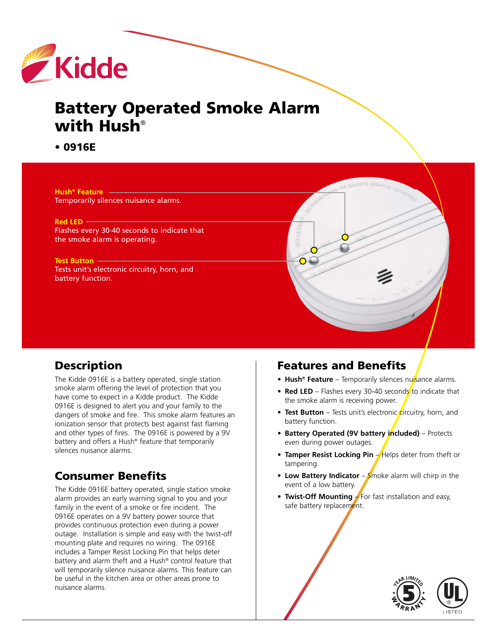

# **Battery Operated Smoke Alarm with Hush**®

**• 0916E**

**Hush® Feature** Temporarily silences nuisance alarms. **Red LED** Flashes every 30-40 seconds to indicate that the smoke alarm is operating. **Test Button** Tests unit's electronic circuitry, horn, and battery function.

## **Description**

The Kidde 0916E is a battery operated, single station smoke alarm offering the level of protection that you have come to expect in a Kidde product. The Kidde 0916E is designed to alert you and your family to the dangers of smoke and fire. This smoke alarm features an ionization sensor that protects best against fast flaming and other types of fires. The 0916E is powered by a 9V battery and offers a Hush® feature that temporarily silences nuisance alarms.

# **Consumer Benefits**

The Kidde 0916E battery operated, single station smoke alarm provides an early warning signal to you and your family in the event of a smoke or fire incident. The 0916E operates on a 9V battery power source that provides continuous protection even during a power outage. Installation is simple and easy with the twist-off mounting plate and requires no wiring. The 0916E includes a Tamper Resist Locking Pin that helps deter battery and alarm theft and a Hush® control feature that will temporarily silence nuisance alarms. This feature can be useful in the kitchen area or other areas prone to nuisance alarms.

# **Features and Benefits**

- **• Hush® Feature** Temporarily silences nuisance alarms.
- **Red LED** Flashes every 30-40 seconds to indicate that the smoke alarm is receiving power.
- Test Button Tests unit's electronic circuitry, horn, and battery function.
- **• Battery Operated (9V battery included)** Protects even during power outages.
- Tamper Resist Locking Pin Helps deter from theft or tampering.
- Low Battery Indicator Smoke alarm will chirp in the event of a low battery.
- **Twist-Off Mounting**  $\neq$  For fast installation and easy, safe battery replacement.